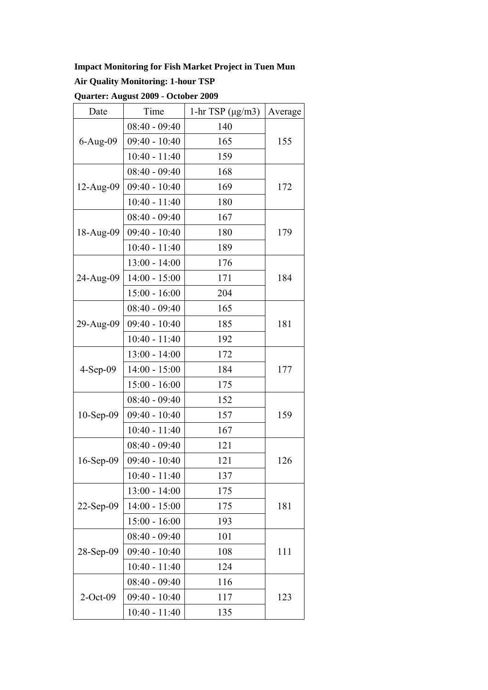## **Impact Monitoring for Fish Market Project in Tuen Mun**

## **Air Quality Monitoring: 1-hour TSP**

| Quarter: August 2009 - October 2009 |  |  |  |
|-------------------------------------|--|--|--|
|-------------------------------------|--|--|--|

| Date         | Time            | 1-hr TSP $(\mu g/m3)$ | Average |  |
|--------------|-----------------|-----------------------|---------|--|
|              | $08:40 - 09:40$ | 140                   |         |  |
| $6-Aug-09$   | $09:40 - 10:40$ | 165                   | 155     |  |
|              | $10:40 - 11:40$ | 159                   |         |  |
|              | $08:40 - 09:40$ | 168                   |         |  |
| $12-Aug-09$  | $09:40 - 10:40$ | 169                   | 172     |  |
|              | $10:40 - 11:40$ | 180                   |         |  |
|              | $08:40 - 09:40$ | 167                   |         |  |
| 18-Aug-09    | $09:40 - 10:40$ | 180                   | 179     |  |
|              | $10:40 - 11:40$ | 189                   |         |  |
|              | $13:00 - 14:00$ | 176                   |         |  |
| 24-Aug-09    | $14:00 - 15:00$ | 171                   | 184     |  |
|              | $15:00 - 16:00$ | 204                   |         |  |
|              | $08:40 - 09:40$ | 165                   |         |  |
| 29-Aug-09    | $09:40 - 10:40$ | 185                   | 181     |  |
|              | $10:40 - 11:40$ | 192                   |         |  |
|              | $13:00 - 14:00$ | 172                   |         |  |
| $4-Sep-09$   | $14:00 - 15:00$ | 184                   | 177     |  |
|              | $15:00 - 16:00$ | 175                   |         |  |
|              | $08:40 - 09:40$ | 152                   |         |  |
| $10-Sep-09$  | $09:40 - 10:40$ | 157                   | 159     |  |
|              | $10:40 - 11:40$ | 167                   |         |  |
|              | $08:40 - 09:40$ | 121                   |         |  |
| $16$ -Sep-09 | $09:40 - 10:40$ | 121                   | 126     |  |
|              | $10:40 - 11:40$ | 137                   |         |  |
|              | $13:00 - 14:00$ | 175                   |         |  |
| 22-Sep-09    | $14:00 - 15:00$ | 175                   | 181     |  |
|              | $15:00 - 16:00$ | 193                   |         |  |
|              | $08:40 - 09:40$ | 101                   |         |  |
| 28-Sep-09    | $09:40 - 10:40$ | 108                   | 111     |  |
|              | $10:40 - 11:40$ | 124                   |         |  |
|              | $08:40 - 09:40$ | 116                   |         |  |
| $2$ -Oct-09  | $09:40 - 10:40$ | 117                   | 123     |  |
|              | $10:40 - 11:40$ | 135                   |         |  |